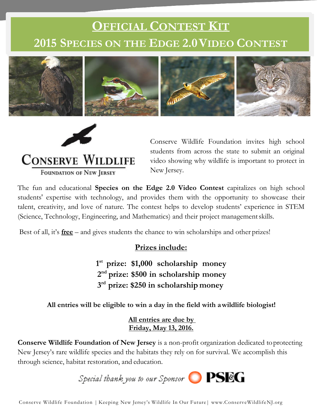# **OFFICIAL CONTEST KIT 2015 SPECIES ON THE EDGE 2.0VIDEO CONTEST**





**CONSERVE WILDLIFE** 

**FOUNDATION OF NEW JERSEY** 

Conserve Wildlife Foundation invites high school students from across the state to submit an original video showing why wildlife is important to protect in New Jersey.

The fun and educational **Species on the Edge 2.0 Video Contest** capitalizes on high school students' expertise with technology, and provides them with the opportunity to showcase their talent, creativity, and love of nature. The contest helps to develop students' experience in STEM (Science, Technology, Engineering, and Mathematics) and their project managementskills.

Best of all, it's **free** – and gives students the chance to win scholarships and other prizes!

# **Contribute: Prizes include:**

**1 st prize: \$1,000 scholarship money 2 nd prize: \$500 in scholarship money 3 rd prize: \$250 in scholarship money**

# **All entries will be eligible to win a day in the field with awildlife biologist!**

**All entries are due by Friday, May 13, 2016.**

**Conserve Wildlife Foundation of New Jersey** is a non-profit organization dedicated toprotecting New Jersey's rare wildlife species and the habitats they rely on for survival. We accomplish this through science, habitat restoration, and education.



Conserve Wildlife Foundation | Keeping New Jersey's Wildlife In Our Future| www.ConserveWildlifeNJ.org